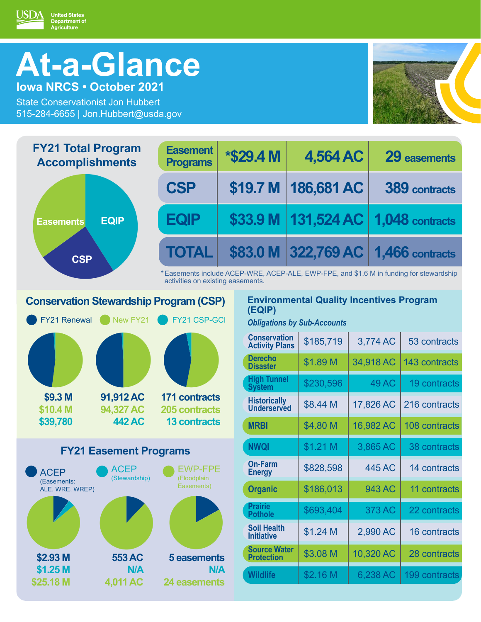# **At-a-Glance Iowa NRCS • October 2021**

United States<br>Department of<br>Agriculture

ISDA

State Conservationist Jon Hubbert 515-284-6655 | Jon.Hubbert@usda.gov



| <b>FY21 Total Program</b><br><b>Accomplishments</b> | <b>Easement</b><br><b>Programs</b>                                                                                          |  | <b>*\$29.4 M</b>                                          |  | 4,564 AC   |  |          | 29 easements                            |
|-----------------------------------------------------|-----------------------------------------------------------------------------------------------------------------------------|--|-----------------------------------------------------------|--|------------|--|----------|-----------------------------------------|
|                                                     | <b>CSP</b>                                                                                                                  |  | \$19.7 M                                                  |  | 186,681 AC |  |          | 389 contracts                           |
| <b>EQIP</b><br><b>Easements</b>                     | <b>EQP</b>                                                                                                                  |  |                                                           |  |            |  |          | \$33.9 M   131,524 AC   1,048 contracts |
| <b>CSP</b>                                          | <b>TOTAL</b>                                                                                                                |  |                                                           |  |            |  |          | \$83.0 M 322,769 AC 1,466 contracts     |
|                                                     | *Easements include ACEP-WRE, ACEP-ALE, EWP-FPE, and \$1.6 M in funding for stewardship<br>activities on existing easements. |  |                                                           |  |            |  |          |                                         |
| <b>Conservation Stewardship Program (CSP)</b>       |                                                                                                                             |  | <b>Environmental Quality Incentives Program</b><br>(EQIP) |  |            |  |          |                                         |
| FY21 CSP-GCI<br><b>FY21 Renewal</b> New FY21        |                                                                                                                             |  | <b>Obligations by Sub-Accounts</b>                        |  |            |  |          |                                         |
|                                                     |                                                                                                                             |  | <b>Conservation</b><br><b>Activity Plans</b>              |  | \$185,719  |  | 3,774 AC | 53 contracts                            |

| \$9.3 M                       | 91,912 AC     | <b>171 contracts</b> |  |  |  |  |
|-------------------------------|---------------|----------------------|--|--|--|--|
| \$10.4 M                      | 94,327 AC     | <b>205 contracts</b> |  |  |  |  |
| \$39,780                      | <b>442 AC</b> | <b>13 contracts</b>  |  |  |  |  |
| <b>FY21 Easement Programs</b> |               |                      |  |  |  |  |



| <b>Conservation</b><br><b>Activity Plans</b> | \$185,719 | 3,774 AC     | 53 contracts  |
|----------------------------------------------|-----------|--------------|---------------|
| <b>Derecho</b><br><b>Disaster</b>            | \$1.89 M  | 34,918 AC    | 143 contracts |
| <b>High Tunnel</b><br><b>System</b>          | \$230,596 | <b>49 AC</b> | 19 contracts  |
| <b>Historically</b><br><b>Underserved</b>    | \$8.44 M  | 17,826 AC    | 216 contracts |
| <b>MRBI</b>                                  | \$4.80 M  | 16,982 AC    | 108 contracts |
| <b>NWQI</b>                                  | \$1.21 M  | 3,865 AC     | 38 contracts  |
| <b>On-Farm</b><br><b>Energy</b>              | \$828,598 | 445 AC       | 14 contracts  |
| <b>Organic</b>                               | \$186,013 | 943 AC       | 11 contracts  |
| <b>Prairie</b><br><b>Pothole</b>             | \$693,404 | 373 AC       | 22 contracts  |
| <b>Soil Health</b><br><b>Initiative</b>      | \$1.24 M  | 2,990 AC     | 16 contracts  |
| <b>Source Water</b><br><b>Protection</b>     | \$3.08 M  | 10,320 AC    | 28 contracts  |
| <b>Wildlife</b>                              | \$2.16 M  | 6,238 AC     | 199 contracts |
|                                              |           |              |               |